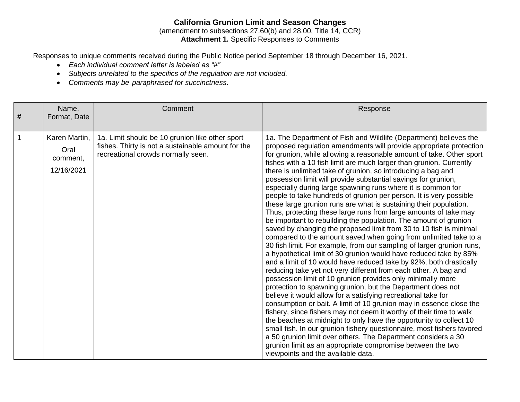# **California Grunion Limit and Season Changes**

(amendment to subsections 27.60(b) and 28.00, Title 14, CCR) **Attachment 1.** Specific Responses to Comments

Responses to unique comments received during the Public Notice period September 18 through December 16, 2021.

- *Each individual comment letter is labeled as "#"*
- *Subjects unrelated to the specifics of the regulation are not included.*
- *Comments may be paraphrased for succinctness*.

| # | Name,<br>Format, Date                           | Comment                                                                                                                                     | Response                                                                                                                                                                                                                                                                                                                                                                                                                                                                                                                                                                                                                                                                                                                                                                                                                                                                                                                                                                                                                                                                                                                                                                                                                                                                                                                                                                                                                                                                                                                                                                                                                                                                                                                                                                                                                                                                       |
|---|-------------------------------------------------|---------------------------------------------------------------------------------------------------------------------------------------------|--------------------------------------------------------------------------------------------------------------------------------------------------------------------------------------------------------------------------------------------------------------------------------------------------------------------------------------------------------------------------------------------------------------------------------------------------------------------------------------------------------------------------------------------------------------------------------------------------------------------------------------------------------------------------------------------------------------------------------------------------------------------------------------------------------------------------------------------------------------------------------------------------------------------------------------------------------------------------------------------------------------------------------------------------------------------------------------------------------------------------------------------------------------------------------------------------------------------------------------------------------------------------------------------------------------------------------------------------------------------------------------------------------------------------------------------------------------------------------------------------------------------------------------------------------------------------------------------------------------------------------------------------------------------------------------------------------------------------------------------------------------------------------------------------------------------------------------------------------------------------------|
|   | Karen Martin,<br>Oral<br>comment,<br>12/16/2021 | 1a. Limit should be 10 grunion like other sport<br>fishes. Thirty is not a sustainable amount for the<br>recreational crowds normally seen. | 1a. The Department of Fish and Wildlife (Department) believes the<br>proposed regulation amendments will provide appropriate protection<br>for grunion, while allowing a reasonable amount of take. Other sport<br>fishes with a 10 fish limit are much larger than grunion. Currently<br>there is unlimited take of grunion, so introducing a bag and<br>possession limit will provide substantial savings for grunion,<br>especially during large spawning runs where it is common for<br>people to take hundreds of grunion per person. It is very possible<br>these large grunion runs are what is sustaining their population.<br>Thus, protecting these large runs from large amounts of take may<br>be important to rebuilding the population. The amount of grunion<br>saved by changing the proposed limit from 30 to 10 fish is minimal<br>compared to the amount saved when going from unlimited take to a<br>30 fish limit. For example, from our sampling of larger grunion runs,<br>a hypothetical limit of 30 grunion would have reduced take by 85%<br>and a limit of 10 would have reduced take by 92%, both drastically<br>reducing take yet not very different from each other. A bag and<br>possession limit of 10 grunion provides only minimally more<br>protection to spawning grunion, but the Department does not<br>believe it would allow for a satisfying recreational take for<br>consumption or bait. A limit of 10 grunion may in essence close the<br>fishery, since fishers may not deem it worthy of their time to walk<br>the beaches at midnight to only have the opportunity to collect 10<br>small fish. In our grunion fishery questionnaire, most fishers favored<br>a 50 grunion limit over others. The Department considers a 30<br>grunion limit as an appropriate compromise between the two<br>viewpoints and the available data. |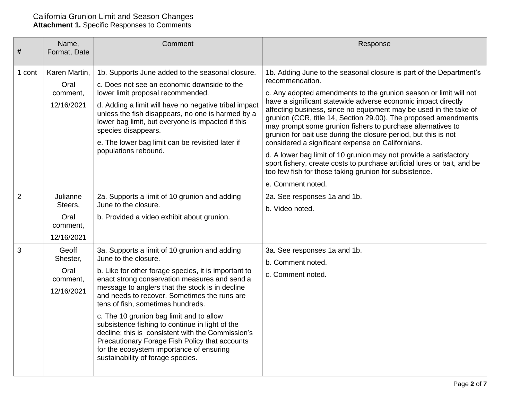| #              | Name,<br>Format, Date                                 | Comment                                                                                                                                                                                                                                                                                                                                                                                                                                                                                                                                                                                                       | Response                                                                                                                                                                                                                                                                                                                                                                                                                                                                                                                                                                                                                                                                                                                                                                                    |
|----------------|-------------------------------------------------------|---------------------------------------------------------------------------------------------------------------------------------------------------------------------------------------------------------------------------------------------------------------------------------------------------------------------------------------------------------------------------------------------------------------------------------------------------------------------------------------------------------------------------------------------------------------------------------------------------------------|---------------------------------------------------------------------------------------------------------------------------------------------------------------------------------------------------------------------------------------------------------------------------------------------------------------------------------------------------------------------------------------------------------------------------------------------------------------------------------------------------------------------------------------------------------------------------------------------------------------------------------------------------------------------------------------------------------------------------------------------------------------------------------------------|
| 1 cont         | Karen Martin,<br>Oral<br>comment,<br>12/16/2021       | 1b. Supports June added to the seasonal closure.<br>c. Does not see an economic downside to the<br>lower limit proposal recommended.<br>d. Adding a limit will have no negative tribal impact<br>unless the fish disappears, no one is harmed by a<br>lower bag limit, but everyone is impacted if this<br>species disappears.<br>e. The lower bag limit can be revisited later if<br>populations rebound.                                                                                                                                                                                                    | 1b. Adding June to the seasonal closure is part of the Department's<br>recommendation.<br>c. Any adopted amendments to the grunion season or limit will not<br>have a significant statewide adverse economic impact directly<br>affecting business, since no equipment may be used in the take of<br>grunion (CCR, title 14, Section 29.00). The proposed amendments<br>may prompt some grunion fishers to purchase alternatives to<br>grunion for bait use during the closure period, but this is not<br>considered a significant expense on Californians.<br>d. A lower bag limit of 10 grunion may not provide a satisfactory<br>sport fishery, create costs to purchase artificial lures or bait, and be<br>too few fish for those taking grunion for subsistence.<br>e. Comment noted. |
| $\overline{2}$ | Julianne<br>Steers,<br>Oral<br>comment,<br>12/16/2021 | 2a. Supports a limit of 10 grunion and adding<br>June to the closure.<br>b. Provided a video exhibit about grunion.                                                                                                                                                                                                                                                                                                                                                                                                                                                                                           | 2a. See responses 1a and 1b.<br>b. Video noted.                                                                                                                                                                                                                                                                                                                                                                                                                                                                                                                                                                                                                                                                                                                                             |
| 3              | Geoff<br>Shester,<br>Oral<br>comment,<br>12/16/2021   | 3a. Supports a limit of 10 grunion and adding<br>June to the closure.<br>b. Like for other forage species, it is important to<br>enact strong conservation measures and send a<br>message to anglers that the stock is in decline<br>and needs to recover. Sometimes the runs are<br>tens of fish, sometimes hundreds.<br>c. The 10 grunion bag limit and to allow<br>subsistence fishing to continue in light of the<br>decline; this is consistent with the Commission's<br>Precautionary Forage Fish Policy that accounts<br>for the ecosystem importance of ensuring<br>sustainability of forage species. | 3a. See responses 1a and 1b.<br>b. Comment noted.<br>c. Comment noted.                                                                                                                                                                                                                                                                                                                                                                                                                                                                                                                                                                                                                                                                                                                      |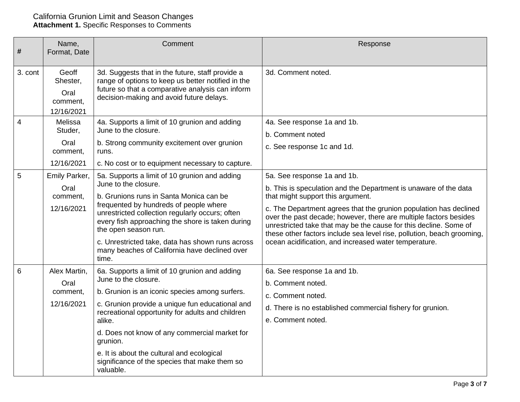| #       | Name,<br>Format, Date                                | Comment                                                                                                                                                                                                                                                                                                                                                                                                           | Response                                                                                                                                                                                                                                                                                                                                                                                                                                                                               |
|---------|------------------------------------------------------|-------------------------------------------------------------------------------------------------------------------------------------------------------------------------------------------------------------------------------------------------------------------------------------------------------------------------------------------------------------------------------------------------------------------|----------------------------------------------------------------------------------------------------------------------------------------------------------------------------------------------------------------------------------------------------------------------------------------------------------------------------------------------------------------------------------------------------------------------------------------------------------------------------------------|
| 3. cont | Geoff<br>Shester,<br>Oral<br>comment,<br>12/16/2021  | 3d. Suggests that in the future, staff provide a<br>range of options to keep us better notified in the<br>future so that a comparative analysis can inform<br>decision-making and avoid future delays.                                                                                                                                                                                                            | 3d. Comment noted.                                                                                                                                                                                                                                                                                                                                                                                                                                                                     |
| 4       | Melissa<br>Studer,<br>Oral<br>comment,<br>12/16/2021 | 4a. Supports a limit of 10 grunion and adding<br>June to the closure.<br>b. Strong community excitement over grunion<br>runs.<br>c. No cost or to equipment necessary to capture.                                                                                                                                                                                                                                 | 4a. See response 1a and 1b.<br>b. Comment noted<br>c. See response 1c and 1d.                                                                                                                                                                                                                                                                                                                                                                                                          |
| 5       | Emily Parker,<br>Oral<br>comment,<br>12/16/2021      | 5a. Supports a limit of 10 grunion and adding<br>June to the closure.<br>b. Grunions runs in Santa Monica can be<br>frequented by hundreds of people where<br>unrestricted collection regularly occurs; often<br>every fish approaching the shore is taken during<br>the open season run.<br>c. Unrestricted take, data has shown runs across<br>many beaches of California have declined over<br>time.           | 5a. See response 1a and 1b.<br>b. This is speculation and the Department is unaware of the data<br>that might support this argument.<br>c. The Department agrees that the grunion population has declined<br>over the past decade; however, there are multiple factors besides<br>unrestricted take that may be the cause for this decline. Some of<br>these other factors include sea level rise, pollution, beach grooming,<br>ocean acidification, and increased water temperature. |
| 6       | Alex Martin,<br>Oral<br>comment,<br>12/16/2021       | 6a. Supports a limit of 10 grunion and adding<br>June to the closure.<br>b. Grunion is an iconic species among surfers.<br>c. Grunion provide a unique fun educational and<br>recreational opportunity for adults and children<br>alike.<br>d. Does not know of any commercial market for<br>grunion.<br>e. It is about the cultural and ecological<br>significance of the species that make them so<br>valuable. | 6a. See response 1a and 1b.<br>b. Comment noted.<br>c. Comment noted.<br>d. There is no established commercial fishery for grunion.<br>e. Comment noted.                                                                                                                                                                                                                                                                                                                               |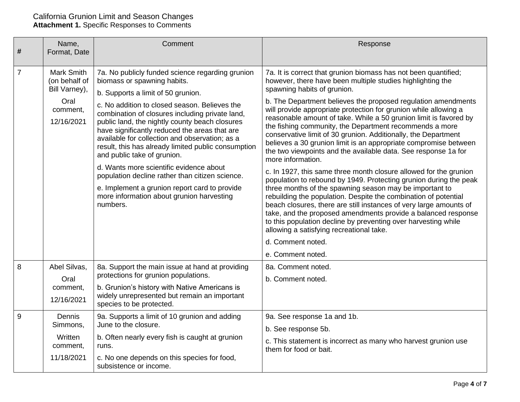| #              | Name,<br>Format, Date                                                                 | Comment                                                                                                                                                                                                                                                                                                                                                                                                                                                                                                                                                                                                                                                                      | Response                                                                                                                                                                                                                                                                                                                                                                                                                                                                                                                                                                                                                                                                                                                                                                                                                                                                                                                                                                                                                                                                                                                                                                                                                              |
|----------------|---------------------------------------------------------------------------------------|------------------------------------------------------------------------------------------------------------------------------------------------------------------------------------------------------------------------------------------------------------------------------------------------------------------------------------------------------------------------------------------------------------------------------------------------------------------------------------------------------------------------------------------------------------------------------------------------------------------------------------------------------------------------------|---------------------------------------------------------------------------------------------------------------------------------------------------------------------------------------------------------------------------------------------------------------------------------------------------------------------------------------------------------------------------------------------------------------------------------------------------------------------------------------------------------------------------------------------------------------------------------------------------------------------------------------------------------------------------------------------------------------------------------------------------------------------------------------------------------------------------------------------------------------------------------------------------------------------------------------------------------------------------------------------------------------------------------------------------------------------------------------------------------------------------------------------------------------------------------------------------------------------------------------|
|                |                                                                                       |                                                                                                                                                                                                                                                                                                                                                                                                                                                                                                                                                                                                                                                                              |                                                                                                                                                                                                                                                                                                                                                                                                                                                                                                                                                                                                                                                                                                                                                                                                                                                                                                                                                                                                                                                                                                                                                                                                                                       |
| $\overline{7}$ | <b>Mark Smith</b><br>(on behalf of<br>Bill Varney),<br>Oral<br>comment,<br>12/16/2021 | 7a. No publicly funded science regarding grunion<br>biomass or spawning habits.<br>b. Supports a limit of 50 grunion.<br>c. No addition to closed season. Believes the<br>combination of closures including private land,<br>public land, the nightly county beach closures<br>have significantly reduced the areas that are<br>available for collection and observation; as a<br>result, this has already limited public consumption<br>and public take of grunion.<br>d. Wants more scientific evidence about<br>population decline rather than citizen science.<br>e. Implement a grunion report card to provide<br>more information about grunion harvesting<br>numbers. | 7a. It is correct that grunion biomass has not been quantified;<br>however, there have been multiple studies highlighting the<br>spawning habits of grunion.<br>b. The Department believes the proposed regulation amendments<br>will provide appropriate protection for grunion while allowing a<br>reasonable amount of take. While a 50 grunion limit is favored by<br>the fishing community, the Department recommends a more<br>conservative limit of 30 grunion. Additionally, the Department<br>believes a 30 grunion limit is an appropriate compromise between<br>the two viewpoints and the available data. See response 1a for<br>more information.<br>c. In 1927, this same three month closure allowed for the grunion<br>population to rebound by 1949. Protecting grunion during the peak<br>three months of the spawning season may be important to<br>rebuilding the population. Despite the combination of potential<br>beach closures, there are still instances of very large amounts of<br>take, and the proposed amendments provide a balanced response<br>to this population decline by preventing over harvesting while<br>allowing a satisfying recreational take.<br>d. Comment noted.<br>e. Comment noted. |
| 8              | Abel Silvas,<br>Oral<br>comment,<br>12/16/2021                                        | 8a. Support the main issue at hand at providing<br>protections for grunion populations.<br>b. Grunion's history with Native Americans is<br>widely unrepresented but remain an important<br>species to be protected.                                                                                                                                                                                                                                                                                                                                                                                                                                                         | 8a. Comment noted.<br>b. Comment noted.                                                                                                                                                                                                                                                                                                                                                                                                                                                                                                                                                                                                                                                                                                                                                                                                                                                                                                                                                                                                                                                                                                                                                                                               |
| 9              | Dennis<br>Simmons,<br>Written<br>comment,<br>11/18/2021                               | 9a. Supports a limit of 10 grunion and adding<br>June to the closure.<br>b. Often nearly every fish is caught at grunion<br>runs.<br>c. No one depends on this species for food,<br>subsistence or income.                                                                                                                                                                                                                                                                                                                                                                                                                                                                   | 9a. See response 1a and 1b.<br>b. See response 5b.<br>c. This statement is incorrect as many who harvest grunion use<br>them for food or bait.                                                                                                                                                                                                                                                                                                                                                                                                                                                                                                                                                                                                                                                                                                                                                                                                                                                                                                                                                                                                                                                                                        |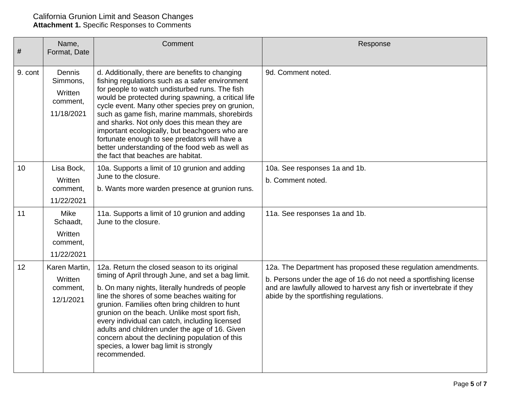| #       | Name,<br>Format, Date                                   | Comment                                                                                                                                                                                                                                                                                                                                                                                                                                                                                                                                                      | Response                                                                                                                                                                                                                                             |
|---------|---------------------------------------------------------|--------------------------------------------------------------------------------------------------------------------------------------------------------------------------------------------------------------------------------------------------------------------------------------------------------------------------------------------------------------------------------------------------------------------------------------------------------------------------------------------------------------------------------------------------------------|------------------------------------------------------------------------------------------------------------------------------------------------------------------------------------------------------------------------------------------------------|
| 9. cont | Dennis<br>Simmons,<br>Written<br>comment,<br>11/18/2021 | d. Additionally, there are benefits to changing<br>fishing regulations such as a safer environment<br>for people to watch undisturbed runs. The fish<br>would be protected during spawning, a critical life<br>cycle event. Many other species prey on grunion,<br>such as game fish, marine mammals, shorebirds<br>and sharks. Not only does this mean they are<br>important ecologically, but beachgoers who are<br>fortunate enough to see predators will have a<br>better understanding of the food web as well as<br>the fact that beaches are habitat. | 9d. Comment noted.                                                                                                                                                                                                                                   |
| 10      | Lisa Bock,<br>Written<br>comment,<br>11/22/2021         | 10a. Supports a limit of 10 grunion and adding<br>June to the closure.<br>b. Wants more warden presence at grunion runs.                                                                                                                                                                                                                                                                                                                                                                                                                                     | 10a. See responses 1a and 1b.<br>b. Comment noted.                                                                                                                                                                                                   |
| 11      | Mike<br>Schaadt,<br>Written<br>comment,<br>11/22/2021   | 11a. Supports a limit of 10 grunion and adding<br>June to the closure.                                                                                                                                                                                                                                                                                                                                                                                                                                                                                       | 11a. See responses 1a and 1b.                                                                                                                                                                                                                        |
| 12      | Karen Martin,<br>Written<br>comment,<br>12/1/2021       | 12a. Return the closed season to its original<br>timing of April through June, and set a bag limit.<br>b. On many nights, literally hundreds of people<br>line the shores of some beaches waiting for<br>grunion. Families often bring children to hunt<br>grunion on the beach. Unlike most sport fish,<br>every individual can catch, including licensed<br>adults and children under the age of 16. Given<br>concern about the declining population of this<br>species, a lower bag limit is strongly<br>recommended.                                     | 12a. The Department has proposed these regulation amendments.<br>b. Persons under the age of 16 do not need a sportfishing license<br>and are lawfully allowed to harvest any fish or invertebrate if they<br>abide by the sportfishing regulations. |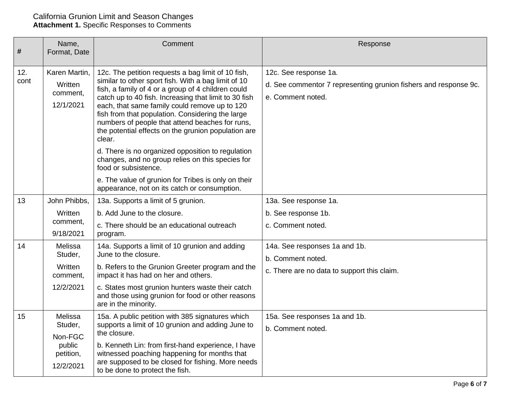| #           | Name,<br>Format, Date                                             | Comment                                                                                                                                                                                                                                                                                                                                                                                                                                                                                                                                                                                                                                                                                   | Response                                                                                                       |
|-------------|-------------------------------------------------------------------|-------------------------------------------------------------------------------------------------------------------------------------------------------------------------------------------------------------------------------------------------------------------------------------------------------------------------------------------------------------------------------------------------------------------------------------------------------------------------------------------------------------------------------------------------------------------------------------------------------------------------------------------------------------------------------------------|----------------------------------------------------------------------------------------------------------------|
| 12.<br>cont | Karen Martin,<br>Written<br>comment,<br>12/1/2021                 | 12c. The petition requests a bag limit of 10 fish,<br>similar to other sport fish. With a bag limit of 10<br>fish, a family of 4 or a group of 4 children could<br>catch up to 40 fish. Increasing that limit to 30 fish<br>each, that same family could remove up to 120<br>fish from that population. Considering the large<br>numbers of people that attend beaches for runs,<br>the potential effects on the grunion population are<br>clear.<br>d. There is no organized opposition to regulation<br>changes, and no group relies on this species for<br>food or subsistence.<br>e. The value of grunion for Tribes is only on their<br>appearance, not on its catch or consumption. | 12c. See response 1a.<br>d. See commentor 7 representing grunion fishers and response 9c.<br>e. Comment noted. |
| 13          | John Phibbs,<br>Written<br>comment,<br>9/18/2021                  | 13a. Supports a limit of 5 grunion.<br>b. Add June to the closure.<br>c. There should be an educational outreach<br>program.                                                                                                                                                                                                                                                                                                                                                                                                                                                                                                                                                              | 13a. See response 1a.<br>b. See response 1b.<br>c. Comment noted.                                              |
| 14          | Melissa<br>Studer,<br>Written<br>comment,<br>12/2/2021            | 14a. Supports a limit of 10 grunion and adding<br>June to the closure.<br>b. Refers to the Grunion Greeter program and the<br>impact it has had on her and others.<br>c. States most grunion hunters waste their catch<br>and those using grunion for food or other reasons<br>are in the minority.                                                                                                                                                                                                                                                                                                                                                                                       | 14a. See responses 1a and 1b.<br>b. Comment noted.<br>c. There are no data to support this claim.              |
| 15          | Melissa<br>Studer,<br>Non-FGC<br>public<br>petition,<br>12/2/2021 | 15a. A public petition with 385 signatures which<br>supports a limit of 10 grunion and adding June to<br>the closure.<br>b. Kenneth Lin: from first-hand experience, I have<br>witnessed poaching happening for months that<br>are supposed to be closed for fishing. More needs<br>to be done to protect the fish.                                                                                                                                                                                                                                                                                                                                                                       | 15a. See responses 1a and 1b.<br>b. Comment noted.                                                             |